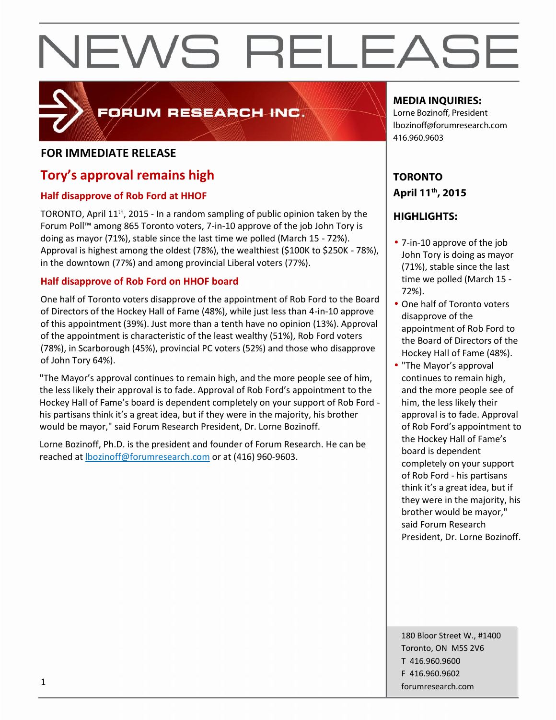

### FORUM RESEARCH INC.

#### **FOR IMMEDIATE RELEASE**

### **Tory's approval remains high**

#### **Half disapprove of Rob Ford at HHOF**

TORONTO, April 11<sup>th</sup>, 2015 - In a random sampling of public opinion taken by the Forum Poll™ among 865 Toronto voters, 7-in-10 approve of the job John Tory is doing as mayor (71%), stable since the last time we polled (March 15 - 72%). Approval is highest among the oldest (78%), the wealthiest (\$100K to \$250K - 78%), in the downtown (77%) and among provincial Liberal voters (77%).

#### **Half disapprove of Rob Ford on HHOF board**

One half of Toronto voters disapprove of the appointment of Rob Ford to the Board of Directors of the Hockey Hall of Fame (48%), while just less than 4-in-10 approve of this appointment (39%). Just more than a tenth have no opinion (13%). Approval of the appointment is characteristic of the least wealthy (51%), Rob Ford voters (78%), in Scarborough (45%), provincial PC voters (52%) and those who disapprove of John Tory 64%).

"The Mayor's approval continues to remain high, and the more people see of him, the less likely their approval is to fade. Approval of Rob Ford's appointment to the Hockey Hall of Fame's board is dependent completely on your support of Rob Ford his partisans think it's a great idea, but if they were in the majority, his brother would be mayor," said Forum Research President, Dr. Lorne Bozinoff.

Lorne Bozinoff, Ph.D. is the president and founder of Forum Research. He can be reached at lbozinoff@forumresearch.com or at (416) 960-9603.

#### **MEDIA INQUIRIES:**

Lorne Bozinoff, President lbozinoff@forumresearch.com 416.960.9603

#### **TORONTO April 11 th , 2015**

#### **HIGHLIGHTS:**

- 7-in-10 approve of the job John Tory is doing as mayor (71%), stable since the last time we polled (March 15 - 72%).
- One half of Toronto voters disapprove of the appointment of Rob Ford to the Board of Directors of the Hockey Hall of Fame (48%).
- "The Mayor's approval continues to remain high, and the more people see of him, the less likely their approval is to fade. Approval of Rob Ford's appointment to the Hockey Hall of Fame's board is dependent completely on your support of Rob Ford - his partisans think it's a great idea, but if they were in the majority, his brother would be mayor," said Forum Research President, Dr. Lorne Bozinoff.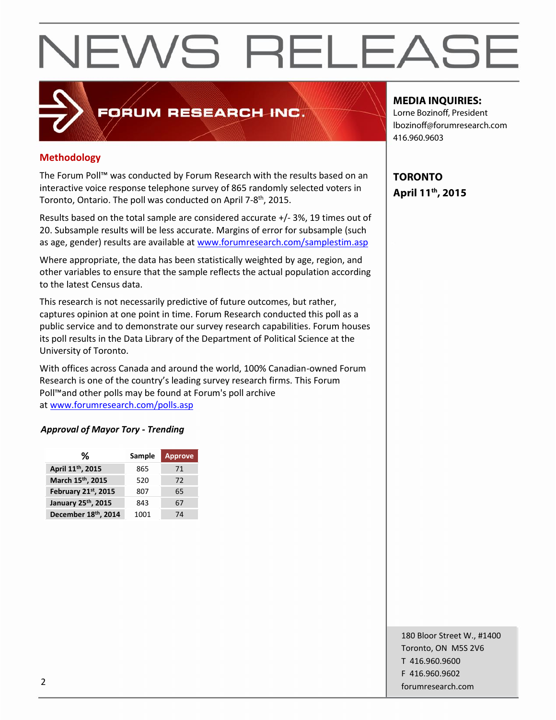### FORUM RESEARCH INC.

#### **Methodology**

The Forum Poll™ was conducted by Forum Research with the results based on an interactive voice response telephone survey of 865 randomly selected voters in Toronto, Ontario. The poll was conducted on April 7-8<sup>th</sup>, 2015.

Results based on the total sample are considered accurate +/-3%, 19 times out of 20. Subsample results will be less accurate. Margins of error for subsample (such as age, gender) results are available at www.forumresearch.com/samplestim.asp

Where appropriate, the data has been statistically weighted by age, region, and other variables to ensure that the sample reflects the actual population according to the latest Census data.

This research is not necessarily predictive of future outcomes, but rather, captures opinion at one point in time. Forum Research conducted this poll as a public service and to demonstrate our survey research capabilities. Forum houses its poll results in the Data Library of the Department of Political Science at the University of Toronto.

With offices across Canada and around the world, 100% Canadian-owned Forum Research is one of the country's leading survey research firms. This Forum Poll™and other polls may be found at Forum's poll archive at www.forumresearch.com/polls.asp

#### *Approval of Mayor Tory - Trending*

| %                   | Sample | <b>Approve</b> |
|---------------------|--------|----------------|
| April 11th, 2015    | 865    | 71             |
| March 15th, 2015    | 520    | 72             |
| February 21st, 2015 | 807    | 65             |
| January 25th, 2015  | 843    | 67             |
| December 18th, 2014 | 1001   | 74             |

#### **MEDIA INQUIRIES:**

Lorne Bozinoff, President lbozinoff@forumresearch.com 416.960.9603

**TORONTO April 11 th , 2015**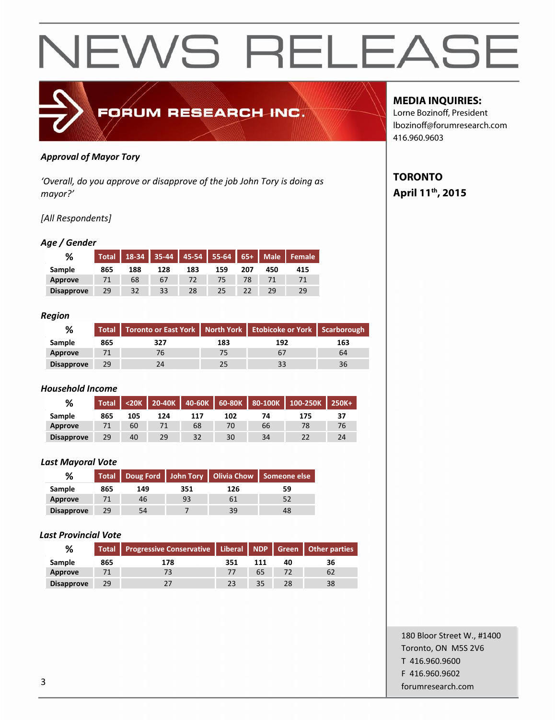

#### *Approval of Mayor Tory*

*'Overall, do you approve or disapprove of the job John Tory is doing as mayor?'*

#### *[All Respondents]*

#### *Age / Gender*

| %                 | <b>Total</b> |     |     |     |     |     |     | 18-34   35-44   45-54   55-64   65+   Male   Female |
|-------------------|--------------|-----|-----|-----|-----|-----|-----|-----------------------------------------------------|
| Sample            | 865          | 188 | 128 | 183 | 159 | 207 | 450 | 415                                                 |
| Approve           |              | 68  | 67  |     |     |     |     |                                                     |
| <b>Disapprove</b> | 29           | 32  | 33  | 28  | 25  |     | 29  | 29                                                  |

#### *Region*

| %                 |     | Total Toronto or East York   North York   Etobicoke or York   Scarborough |     |     |     |  |
|-------------------|-----|---------------------------------------------------------------------------|-----|-----|-----|--|
| Sample            | 865 | 327                                                                       | 183 | 192 | 163 |  |
| Approve           |     |                                                                           |     |     | 64  |  |
| <b>Disapprove</b> | 29  |                                                                           |     |     | 36  |  |

#### *Household Income*

| %                 | Total <sup>'</sup> |     |     |     |     |    | <20K   20-40K   40-60K   60-80K   80-100K   100-250K   250K+ |    |
|-------------------|--------------------|-----|-----|-----|-----|----|--------------------------------------------------------------|----|
| <b>Sample</b>     | 865                | 105 | 124 | 117 | 102 | 74 | 175                                                          | 37 |
| Approve           |                    | 60  |     | 68  | 70  | 66 |                                                              | 76 |
| <b>Disapprove</b> | 29                 | 40  | 29  | 32  | 30  | 34 |                                                              | 24 |

#### *Last Mayoral Vote*

| %                 |     |     |     |     | Total   Doug Ford   John Tory   Olivia Chow   Someone else |  |
|-------------------|-----|-----|-----|-----|------------------------------------------------------------|--|
| Sample            | 865 | 149 | 351 | 126 | 59                                                         |  |
| Approve           |     | 46  | 93  |     |                                                            |  |
| <b>Disapprove</b> | 29  | 54  |     | 39  | 48                                                         |  |

#### *Last Provincial Vote*

| %                 |     | Total Progressive Conservative   Liberal NDP   Green   Other parties |     |    |    |    |
|-------------------|-----|----------------------------------------------------------------------|-----|----|----|----|
| <b>Sample</b>     | 865 | 178                                                                  | 351 |    | 40 | 36 |
| Approve           |     |                                                                      |     | 65 |    | 62 |
| <b>Disapprove</b> | 29  |                                                                      |     | 35 | 28 | 38 |

#### **MEDIA INQUIRIES:**

Lorne Bozinoff, President lbozinoff@forumresearch.com 416.960.9603

#### **TORONTO April 11 th , 2015**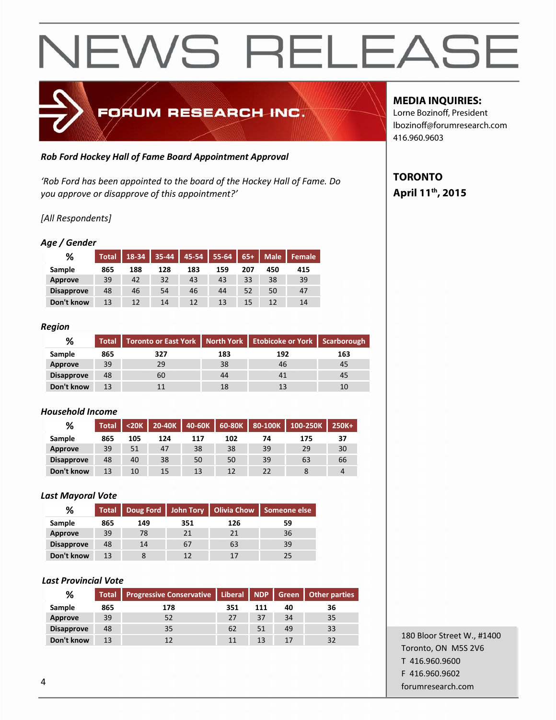

#### *Rob Ford Hockey Hall of Fame Board Appointment Approval*

*'Rob Ford has been appointed to the board of the Hockey Hall of Fame. Do you approve or disapprove of this appointment?'*

#### *[All Respondents]*

#### *Age / Gender*

| %                 | <b>Total</b> | $18-34$ |     | $35-44$   45-54 | 55-64 65+ Male |     |     | <b>I</b> Female |
|-------------------|--------------|---------|-----|-----------------|----------------|-----|-----|-----------------|
| Sample            | 865          | 188     | 128 | 183             | 159            | 207 | 450 | 415             |
| Approve           | 39           | 42      | 32  | 43              | 43             | 33  | 38  | 39              |
| <b>Disapprove</b> | 48           | 46      | 54  | 46              | 44             | 52  | 50  | 47              |
| Don't know        | 13           | 12      | 14  | 12              | 13             | 15  | 12  | 14              |

#### *Region*

| %                 | <b>Total</b> | Toronto or East York   North York   Etobicoke or York   Scarborough |     |     |     |
|-------------------|--------------|---------------------------------------------------------------------|-----|-----|-----|
| <b>Sample</b>     | 865          | 327                                                                 | 183 | 192 | 163 |
| Approve           | 39           | 29                                                                  | 38  | 46  | 45  |
| <b>Disapprove</b> | 48           | 60                                                                  | 44  | 41  | 45  |
| Don't know        | 13           |                                                                     | 18  | 13  |     |

#### *Household Income*

| %                 | <b>Total</b> |     | $<$ 20K $\vert$ 20-40K | 40-60K | $60-80K$          | 80-100K | 100-250K | 250K+ |
|-------------------|--------------|-----|------------------------|--------|-------------------|---------|----------|-------|
| Sample            | 865          | 105 | 124                    | 117    | 102               | 74      | 175      | 37    |
| Approve           | 39           | 51  | 47                     | 38     | 38                | 39      | 29       | 30    |
| <b>Disapprove</b> | 48           | 40  | 38                     | 50     | 50                | 39      | 63       | 66    |
| Don't know        | 13           | 10  | 15                     | 13     | $12 \overline{ }$ | 22      |          | 4     |

#### *Last Mayoral Vote*

| %                 | <b>Total</b> |     |     |     | Doug Ford   John Tory   Olivia Chow   Someone else |
|-------------------|--------------|-----|-----|-----|----------------------------------------------------|
| Sample            | 865          | 149 | 351 | 126 | 59                                                 |
| Approve           | 39           | 78  | 21  | 21  | 36                                                 |
| <b>Disapprove</b> | 48           | 14  | 67  | 63  | 39                                                 |
| Don't know        | 13           |     | 12  | 17  |                                                    |

#### *Last Provincial Vote*

| %                 | <b>Total</b> |     |     | Progressive Conservative   Liberal   NDP   Green   Other parties |    |    |  |  |
|-------------------|--------------|-----|-----|------------------------------------------------------------------|----|----|--|--|
| Sample            | 865          | 178 | 351 | 111                                                              | 40 | 36 |  |  |
| Approve           | 39           | 52  | 27  | 37                                                               | 34 | 35 |  |  |
| <b>Disapprove</b> | 48           | 35  | 62  | 51                                                               | 49 | 33 |  |  |
| Don't know        | 13           |     | 11  | 13                                                               |    | 32 |  |  |

### **MEDIA INQUIRIES:**

Lorne Bozinoff, President lbozinoff@forumresearch.com 416.960.9603

#### **TORONTO April 11 th , 2015**